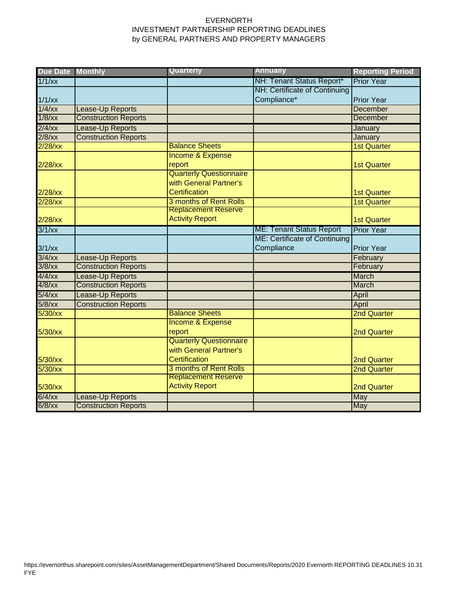## EVERNORTH INVESTMENT PARTNERSHIP REPORTING DEADLINES by GENERAL PARTNERS AND PROPERTY MANAGERS

| <b>Due Date Monthly</b> |                             | Quarterly                      | <b>Annually</b>                 | <b>Reporting Period</b> |
|-------------------------|-----------------------------|--------------------------------|---------------------------------|-------------------------|
| $1/1$ /xx               |                             |                                | NH: Tenant Status Report*       | <b>Prior Year</b>       |
|                         |                             |                                | NH: Certificate of Continuing   |                         |
| $1/1$ /xx               |                             |                                | Compliance*                     | <b>Prior Year</b>       |
| $1/4$ /xx               | Lease-Up Reports            |                                |                                 | <b>December</b>         |
| $1/8$ /xx               | <b>Construction Reports</b> |                                |                                 | December                |
| $2/4$ /xx               | Lease-Up Reports            |                                |                                 | January                 |
| $2/8$ /xx               | <b>Construction Reports</b> |                                |                                 | January                 |
| $2/28$ /xx              |                             | <b>Balance Sheets</b>          |                                 | <b>1st Quarter</b>      |
|                         |                             | Income & Expense               |                                 |                         |
| $2/28$ /xx              |                             | report                         |                                 | <b>1st Quarter</b>      |
|                         |                             | <b>Quarterly Questionnaire</b> |                                 |                         |
|                         |                             | with General Partner's         |                                 |                         |
| $2/28$ /xx              |                             | Certification                  |                                 | <b>1st Quarter</b>      |
| $2/28$ /xx              |                             | 3 months of Rent Rolls         |                                 | <b>1st Quarter</b>      |
|                         |                             | <b>Replacement Reserve</b>     |                                 |                         |
| $2/28$ /xx              |                             | <b>Activity Report</b>         |                                 | <b>1st Quarter</b>      |
| $3/1$ /xx               |                             |                                | <b>ME: Tenant Status Report</b> | <b>Prior Year</b>       |
|                         |                             |                                | ME: Certificate of Continuing   |                         |
| $3/1$ /xx               |                             |                                | Compliance                      | <b>Prior Year</b>       |
| $3/4$ /xx               | Lease-Up Reports            |                                |                                 | February                |
| $3/8$ /xx               | <b>Construction Reports</b> |                                |                                 | February                |
| $4/4$ /xx               | Lease-Up Reports            |                                |                                 | March                   |
| $4/8$ /xx               | <b>Construction Reports</b> |                                |                                 | March                   |
| $5/4$ /xx               | Lease-Up Reports            |                                |                                 | April                   |
| $5/8$ /xx               | <b>Construction Reports</b> |                                |                                 | April                   |
| 5/30/xx                 |                             | <b>Balance Sheets</b>          |                                 | <b>2nd Quarter</b>      |
|                         |                             | Income & Expense               |                                 |                         |
| 5/30/xx                 |                             | report                         |                                 | <b>2nd Quarter</b>      |
|                         |                             | <b>Quarterly Questionnaire</b> |                                 |                         |
|                         |                             | with General Partner's         |                                 |                         |
| 5/30/xx                 |                             | <b>Certification</b>           |                                 | 2nd Quarter             |
| 5/30/xx                 |                             | 3 months of Rent Rolls         |                                 | 2nd Quarter             |
|                         |                             | <b>Replacement Reserve</b>     |                                 |                         |
| 5/30/xx                 |                             | <b>Activity Report</b>         |                                 | <b>2nd Quarter</b>      |
| $6/4$ /xx               | Lease-Up Reports            |                                |                                 | <b>May</b>              |
| $6/8$ /xx               | <b>Construction Reports</b> |                                |                                 | May                     |